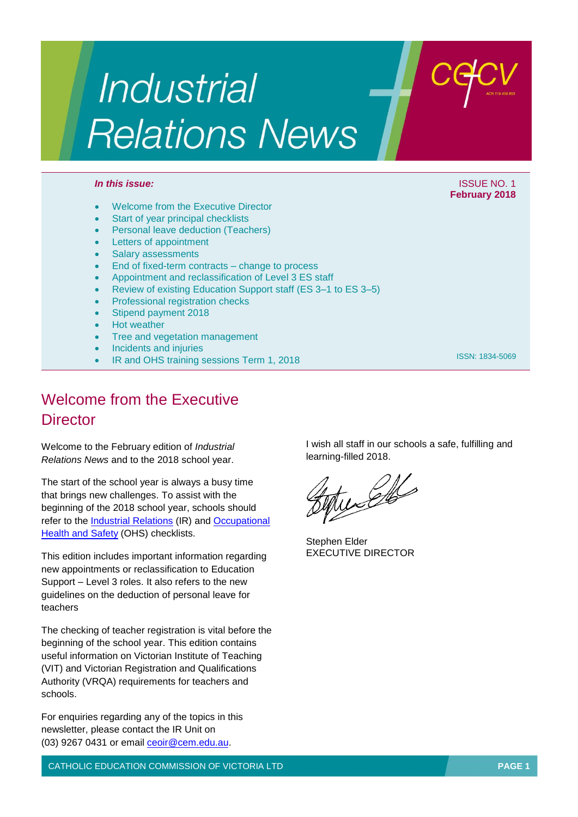# **Industrial Relations News**

- Welcome from the Executive Director
- Start of year principal checklists
- Personal leave deduction (Teachers)
- Letters of appointment
- Salary assessments
- End of fixed-term contracts change to process
- Appointment and reclassification of Level 3 ES staff
- Review of existing Education Support staff (ES 3–1 to ES 3–5)
- Professional registration checks
- Stipend payment 2018
- Hot weather
- Tree and vegetation management
- Incidents and injuries
- IR and OHS training sessions Term 1, 2018

## Welcome from the Executive **Director**

Welcome to the February edition of *Industrial Relations News* and to the 2018 school year.

The start of the school year is always a busy time that brings new challenges. To assist with the beginning of the 2018 school year, schools should refer to the [Industrial Relations \(](http://www.cecv.catholic.edu.au/Media-Files/IR/Communications/Newsletter/Checklists/2018-Start-of-School-Year-IR-Checklist-for-Princip.aspx)IR) and [Occupational](http://www.cecv.catholic.edu.au/Media-Files/IR/Communications/Newsletter/Checklists/2018-start-of-the-year-OHS-Checklist.aspx)  [Health and Safety](http://www.cecv.catholic.edu.au/Media-Files/IR/Communications/Newsletter/Checklists/2018-start-of-the-year-OHS-Checklist.aspx) (OHS) checklists.

This edition includes important information regarding new appointments or reclassification to Education Support – Level 3 roles. It also refers to the new guidelines on the deduction of personal leave for teachers

The checking of teacher registration is vital before the beginning of the school year. This edition contains useful information on Victorian Institute of Teaching (VIT) and Victorian Registration and Qualifications Authority (VRQA) requirements for teachers and schools.

For enquiries regarding any of the topics in this newsletter, please contact the IR Unit on (03) 9267 0431 or email [ceoir@cem.edu.au.](mailto:ceoir@cem.edu.au)

CATHOLIC EDUCATION COMMISSION OF VICTORIA LTD **PAGE 1**

I wish all staff in our schools a safe, fulfilling and learning-filled 2018.

tudelle

Stephen Elder EXECUTIVE DIRECTOR





ISSN: 1834-5069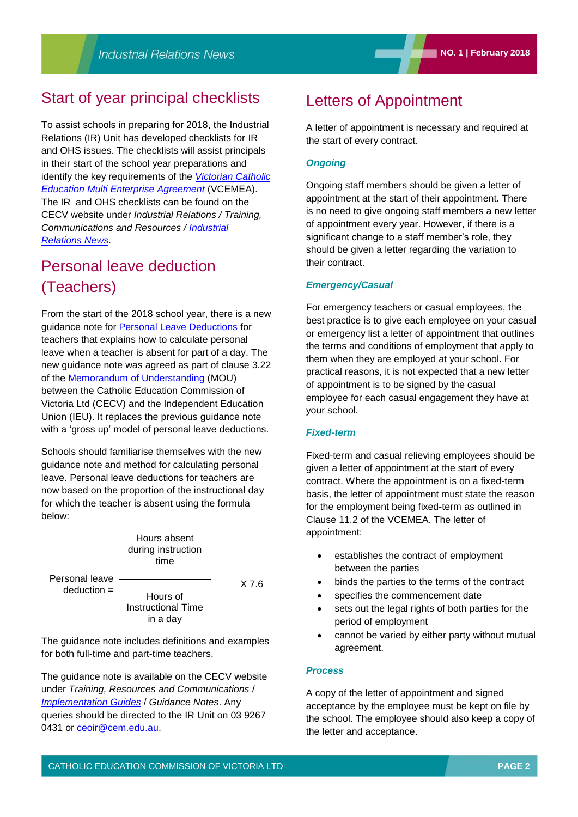## Start of year principal checklists

To assist schools in preparing for 2018, the Industrial Relations (IR) Unit has developed checklists for IR and OHS issues. The checklists will assist principals in their start of the school year preparations and identify the key requirements of the *[Victorian Catholic](http://www.cecv.catholic.edu.au/getmedia/e728ccbb-dac1-4822-9607-7c5cb8abdae9/VCEMEA_2013.aspx) [Education Multi Enterprise Agreement](http://www.cecv.catholic.edu.au/getmedia/e728ccbb-dac1-4822-9607-7c5cb8abdae9/VCEMEA_2013.aspx)* (VCEMEA). The IR and OHS checklists can be found on the CECV website under *Industrial Relations / Training, Communications and Resources / [Industrial](http://www.cecv.catholic.edu.au/Industrial-Relations/Training-Resources/Industrial-Relations-News)  [Relations News](http://www.cecv.catholic.edu.au/Industrial-Relations/Training-Resources/Industrial-Relations-News)*.

## Personal leave deduction (Teachers)

From the start of the 2018 school year, there is a new guidance note for [Personal Leave Deductions](http://www.cecv.catholic.edu.au/Media-Files/IR/EB/MOU/Implementation-Guide-Personal-Leave-Deductions-201.aspx) for teachers that explains how to calculate personal leave when a teacher is absent for part of a day. The new guidance note was agreed as part of clause 3.22 of the [Memorandum of Understanding](http://www.cecv.catholic.edu.au/Media-Files/IR/EB/MOU/Memorandum_of_Understanding.aspx) (MOU) between the Catholic Education Commission of Victoria Ltd (CECV) and the Independent Education Union (IEU). It replaces the previous guidance note with a 'gross up' model of personal leave deductions.

Schools should familiarise themselves with the new guidance note and method for calculating personal leave. Personal leave deductions for teachers are now based on the proportion of the instructional day for which the teacher is absent using the formula below:

> Hours absent during instruction time

Hours of Instructional Time in a day

Personal leave deduction =

X 7.6

The guidance note includes definitions and examples for both full-time and part-time teachers.

The guidance note is available on the CECV website under *Training, Resources and Communications* / *[Implementation Guides](http://www.cecv.catholic.edu.au/Industrial-Relations/Training-Resources/Implementation-Guides)* / *Guidance Notes*. Any queries should be directed to the IR Unit on 03 9267 0431 or [ceoir@cem.edu.au.](mailto:ceoir@cem.edu.au)

## Letters of Appointment

A letter of appointment is necessary and required at the start of every contract.

#### *Ongoing*

Ongoing staff members should be given a letter of appointment at the start of their appointment. There is no need to give ongoing staff members a new letter of appointment every year. However, if there is a significant change to a staff member's role, they should be given a letter regarding the variation to their contract.

#### *Emergency/Casual*

For emergency teachers or casual employees, the best practice is to give each employee on your casual or emergency list a letter of appointment that outlines the terms and conditions of employment that apply to them when they are employed at your school. For practical reasons, it is not expected that a new letter of appointment is to be signed by the casual employee for each casual engagement they have at your school.

#### *Fixed-term*

Fixed-term and casual relieving employees should be given a letter of appointment at the start of every contract. Where the appointment is on a fixed-term basis, the letter of appointment must state the reason for the employment being fixed-term as outlined in Clause 11.2 of the VCEMEA. The letter of appointment:

- establishes the contract of employment between the parties
- binds the parties to the terms of the contract
- specifies the commencement date
- sets out the legal rights of both parties for the period of employment
- cannot be varied by either party without mutual agreement.

#### *Process*

A copy of the letter of appointment and signed acceptance by the employee must be kept on file by the school. The employee should also keep a copy of the letter and acceptance.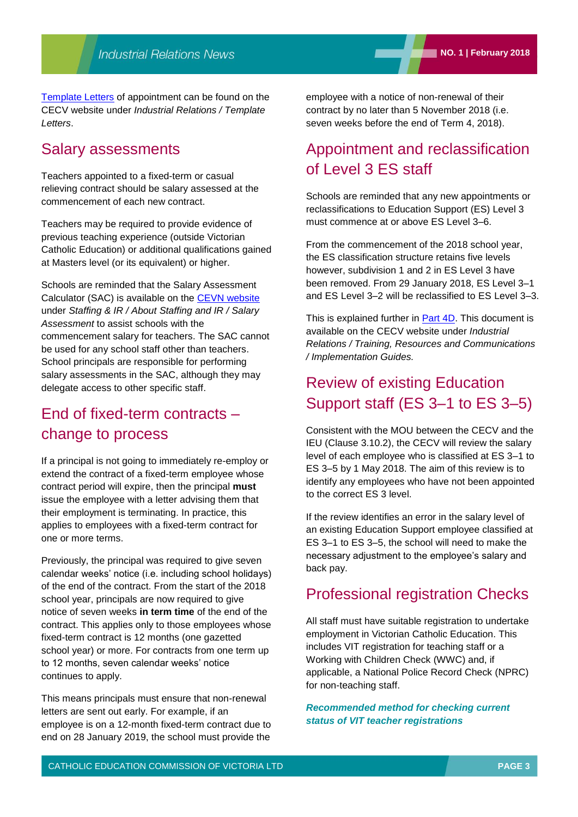[Template Letters](http://www.cecv.catholic.edu.au/Industrial-Relations/Template-Letters) of appointment can be found on the CECV website under *Industrial Relations / Template Letters*.

## Salary assessments

Teachers appointed to a fixed-term or casual relieving contract should be salary assessed at the commencement of each new contract.

Teachers may be required to provide evidence of previous teaching experience (outside Victorian Catholic Education) or additional qualifications gained at Masters level (or its equivalent) or higher.

Schools are reminded that the Salary Assessment Calculator (SAC) is available on the [CEVN website](https://cevn.cecv.catholic.edu.au/secure/CEVNLogin.aspx?redirect=http://cevn.cecv.catholic.edu.au/Default.aspx) under *Staffing & IR / About Staffing and IR / Salary Assessment* to assist schools with the commencement salary for teachers. The SAC cannot be used for any school staff other than teachers. School principals are responsible for performing salary assessments in the SAC, although they may delegate access to other specific staff.

## End of fixed-term contracts – change to process

If a principal is not going to immediately re-employ or extend the contract of a fixed-term employee whose contract period will expire, then the principal **must** issue the employee with a letter advising them that their employment is terminating. In practice, this applies to employees with a fixed-term contract for one or more terms.

Previously, the principal was required to give seven calendar weeks' notice (i.e. including school holidays) of the end of the contract. From the start of the 2018 school year, principals are now required to give notice of seven weeks **in term time** of the end of the contract. This applies only to those employees whose fixed-term contract is 12 months (one gazetted school year) or more. For contracts from one term up to 12 months, seven calendar weeks' notice continues to apply.

This means principals must ensure that non-renewal letters are sent out early. For example, if an employee is on a 12-month fixed-term contract due to end on 28 January 2019, the school must provide the

employee with a notice of non-renewal of their contract by no later than 5 November 2018 (i.e. seven weeks before the end of Term 4, 2018).

## Appointment and reclassification of Level 3 ES staff

Schools are reminded that any new appointments or reclassifications to Education Support (ES) Level 3 must commence at or above ES Level 3–6.

From the commencement of the 2018 school year, the ES classification structure retains five levels however, subdivision 1 and 2 in ES Level 3 have been removed. From 29 January 2018, ES Level 3–1 and ES Level 3–2 will be reclassified to ES Level 3–3.

This is explained further in [Part 4D.](http://www.cecv.catholic.edu.au/Media-Files/IR/Communications/Implementation-Guides/Part-4D-Implementation-Guide-for-ES-Employees-(2).aspx) This document is available on the CECV website under *Industrial Relations / Training, Resources and Communications / Implementation Guides.*

## Review of existing Education Support staff (ES 3–1 to ES 3–5)

Consistent with the MOU between the CECV and the IEU (Clause 3.10.2), the CECV will review the salary level of each employee who is classified at ES 3–1 to ES 3–5 by 1 May 2018. The aim of this review is to identify any employees who have not been appointed to the correct ES 3 level.

If the review identifies an error in the salary level of an existing Education Support employee classified at ES 3–1 to ES 3–5, the school will need to make the necessary adjustment to the employee's salary and back pay.

## Professional registration Checks

All staff must have suitable registration to undertake employment in Victorian Catholic Education. This includes VIT registration for teaching staff or a Working with Children Check (WWC) and, if applicable, a National Police Record Check (NPRC) for non-teaching staff.

*Recommended method for checking current status of VIT teacher registrations*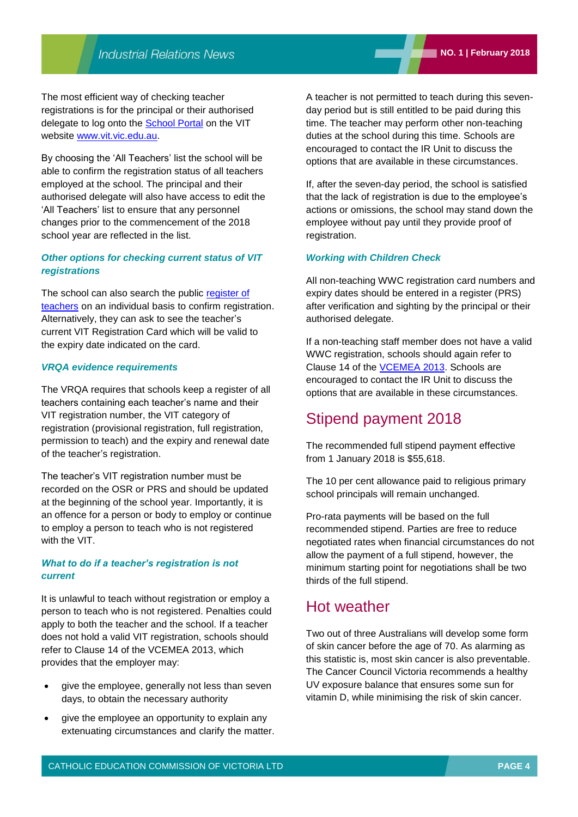The most efficient way of checking teacher registrations is for the principal or their authorised delegate to log onto the [School Portal](https://schools.vit.vic.edu.au/) on the VIT website [www.vit.vic.edu.au.](www.vit.vic.edu.au)

By choosing the 'All Teachers' list the school will be able to confirm the registration status of all teachers employed at the school. The principal and their authorised delegate will also have access to edit the 'All Teachers' list to ensure that any personnel changes prior to the commencement of the 2018 school year are reflected in the list.

#### *Other options for checking current status of VIT registrations*

The school can also search the public register of [teachers](https://www.vit.vic.edu.au/search-the-register) on an individual basis to confirm registration. Alternatively, they can ask to see the teacher's current VIT Registration Card which will be valid to the expiry date indicated on the card.

#### *VRQA evidence requirements*

The VRQA requires that schools keep a register of all teachers containing each teacher's name and their VIT registration number, the VIT category of registration (provisional registration, full registration, permission to teach) and the expiry and renewal date of the teacher's registration.

The teacher's VIT registration number must be recorded on the OSR or PRS and should be updated at the beginning of the school year. Importantly, it is an offence for a person or body to employ or continue to employ a person to teach who is not registered with the VIT.

#### *What to do if a teacher's registration is not current*

It is unlawful to teach without registration or employ a person to teach who is not registered. Penalties could apply to both the teacher and the school. If a teacher does not hold a valid VIT registration, schools should refer to Clause 14 of the VCEMEA 2013, which provides that the employer may:

- give the employee, generally not less than seven days, to obtain the necessary authority
- give the employee an opportunity to explain any extenuating circumstances and clarify the matter.

A teacher is not permitted to teach during this sevenday period but is still entitled to be paid during this time. The teacher may perform other non-teaching duties at the school during this time. Schools are encouraged to contact the IR Unit to discuss the options that are available in these circumstances.

If, after the seven-day period, the school is satisfied that the lack of registration is due to the employee's actions or omissions, the school may stand down the employee without pay until they provide proof of registration.

#### *Working with Children Check*

All non-teaching WWC registration card numbers and expiry dates should be entered in a register (PRS) after verification and sighting by the principal or their authorised delegate.

If a non-teaching staff member does not have a valid WWC registration, schools should again refer to Clause 14 of the [VCEMEA 2013.](http://www.cecv.catholic.edu.au/getmedia/e728ccbb-dac1-4822-9607-7c5cb8abdae9/VCEMEA_2013.aspx) Schools are encouraged to contact the IR Unit to discuss the options that are available in these circumstances.

## Stipend payment 2018

The recommended full stipend payment effective from 1 January 2018 is \$55,618.

The 10 per cent allowance paid to religious primary school principals will remain unchanged.

Pro-rata payments will be based on the full recommended stipend. Parties are free to reduce negotiated rates when financial circumstances do not allow the payment of a full stipend, however, the minimum starting point for negotiations shall be two thirds of the full stipend.

## Hot weather

Two out of three Australians will develop some form of skin cancer before the age of 70. As alarming as this statistic is, most skin cancer is also preventable. The Cancer Council Victoria recommends a healthy UV exposure balance that ensures some sun for vitamin D, while minimising the risk of skin cancer.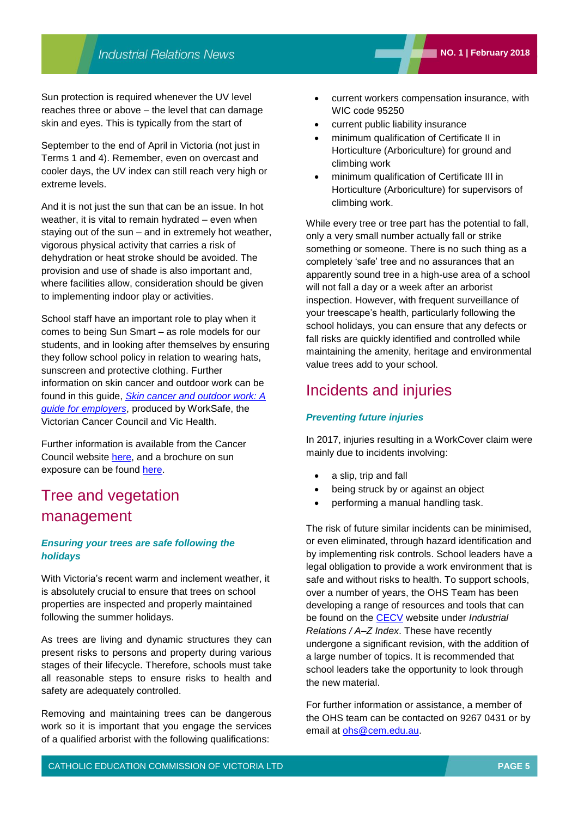Sun protection is required whenever the UV level reaches three or above – the level that can damage skin and eyes. This is typically from the start of

September to the end of April in Victoria (not just in Terms 1 and 4). Remember, even on overcast and cooler days, the UV index can still reach very high or extreme levels.

And it is not just the sun that can be an issue. In hot weather, it is vital to remain hydrated – even when staying out of the sun – and in extremely hot weather, vigorous physical activity that carries a risk of dehydration or heat stroke should be avoided. The provision and use of shade is also important and, where facilities allow, consideration should be given to implementing indoor play or activities.

School staff have an important role to play when it comes to being Sun Smart – as role models for our students, and in looking after themselves by ensuring they follow school policy in relation to wearing hats, sunscreen and protective clothing. Further information on skin cancer and outdoor work can be found in this guide, *[Skin cancer and outdoor work: A](https://www.worksafe.vic.gov.au/__data/assets/pdf_file/0003/209559/ISBN-Skin-cancer-and-outdoor-work-2012-04.pdf)  [guide for employers](https://www.worksafe.vic.gov.au/__data/assets/pdf_file/0003/209559/ISBN-Skin-cancer-and-outdoor-work-2012-04.pdf)*, produced by WorkSafe, the Victorian Cancer Council and Vic Health.

Further information is available from the Cancer Council website [here,](https://www.cancervic.org.au/preventing-cancer/be-sunsmart) and a brochure on sun exposure can be found [here.](http://www.sunsmart.com.au/downloads/resources/brochures/how-much-sun-enough-vitamin-d.pdf)

## Tree and vegetation management

#### *Ensuring your trees are safe following the holidays*

With Victoria's recent warm and inclement weather, it is absolutely crucial to ensure that trees on school properties are inspected and properly maintained following the summer holidays.

As trees are living and dynamic structures they can present risks to persons and property during various stages of their lifecycle. Therefore, schools must take all reasonable steps to ensure risks to health and safety are adequately controlled.

Removing and maintaining trees can be dangerous work so it is important that you engage the services of a qualified arborist with the following qualifications:

- current public liability insurance
- minimum qualification of Certificate II in Horticulture (Arboriculture) for ground and climbing work
- minimum qualification of Certificate III in Horticulture (Arboriculture) for supervisors of climbing work.

While every tree or tree part has the potential to fall, only a very small number actually fall or strike something or someone. There is no such thing as a completely 'safe' tree and no assurances that an apparently sound tree in a high-use area of a school will not fall a day or a week after an arborist inspection. However, with frequent surveillance of your treescape's health, particularly following the school holidays, you can ensure that any defects or fall risks are quickly identified and controlled while maintaining the amenity, heritage and environmental value trees add to your school.

## Incidents and injuries

### *Preventing future injuries*

In 2017, injuries resulting in a WorkCover claim were mainly due to incidents involving:

- a slip, trip and fall
- being struck by or against an object
- performing a manual handling task.

The risk of future similar incidents can be minimised, or even eliminated, through hazard identification and by implementing risk controls. School leaders have a legal obligation to provide a work environment that is safe and without risks to health. To support schools, over a number of years, the OHS Team has been developing a range of resources and tools that can be found on the [CECV](http://www.cecv.catholic.edu.au/OHS-WorkCover/A-Z-Index) website under *Industrial Relations / A–Z Index*. These have recently undergone a significant revision, with the addition of a large number of topics. It is recommended that school leaders take the opportunity to look through the new material.

For further information or assistance, a member of the OHS team can be contacted on 9267 0431 or by email at [ohs@cem.edu.au.](mailto:ohs@cem.edu.au)